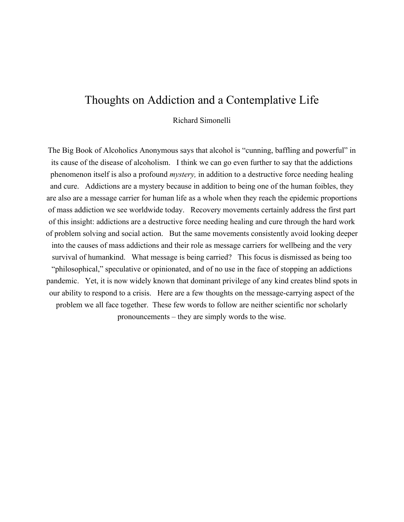## Thoughts on Addiction and a Contemplative Life

Richard Simonelli

The Big Book of Alcoholics Anonymous says that alcohol is "cunning, baffling and powerful" in its cause of the disease of alcoholism. I think we can go even further to say that the addictions phenomenon itself is also a profound *mystery,* in addition to a destructive force needing healing and cure. Addictions are a mystery because in addition to being one of the human foibles, they are also are a message carrier for human life as a whole when they reach the epidemic proportions of mass addiction we see worldwide today. Recovery movements certainly address the first part of this insight: addictions are a destructive force needing healing and cure through the hard work of problem solving and social action. But the same movements consistently avoid looking deeper into the causes of mass addictions and their role as message carriers for wellbeing and the very survival of humankind. What message is being carried? This focus is dismissed as being too "philosophical," speculative or opinionated, and of no use in the face of stopping an addictions pandemic. Yet, it is now widely known that dominant privilege of any kind creates blind spots in our ability to respond to a crisis. Here are a few thoughts on the message-carrying aspect of the problem we all face together. These few words to follow are neither scientific nor scholarly pronouncements – they are simply words to the wise.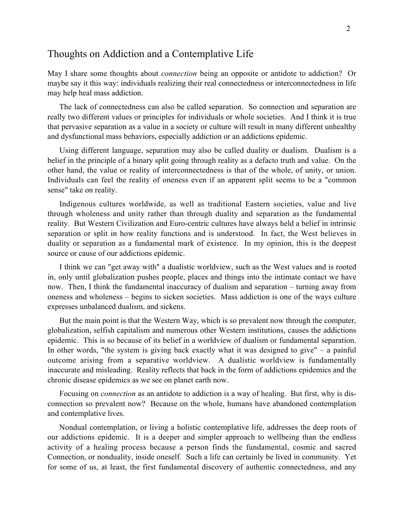## Thoughts on Addiction and a Contemplative Life

May I share some thoughts about *connection* being an opposite or antidote to addiction? Or maybe say it this way: individuals realizing their real connectedness or interconnectedness in life may help heal mass addiction.

The lack of connectedness can also be called separation. So connection and separation are really two different values or principles for individuals or whole societies. And I think it is true that pervasive separation as a value in a society or culture will result in many different unhealthy and dysfunctional mass behaviors, especially addiction or an addictions epidemic.

Using different language, separation may also be called duality or dualism. Dualism is a belief in the principle of a binary split going through reality as a defacto truth and value. On the other hand, the value or reality of interconnectedness is that of the whole, of unity, or union. Individuals can feel the reality of oneness even if an apparent split seems to be a "common sense" take on reality.

Indigenous cultures worldwide, as well as traditional Eastern societies, value and live through wholeness and unity rather than through duality and separation as the fundamental reality. But Western Civilization and Euro-centric cultures have always held a belief in intrinsic separation or split in how reality functions and is understood. In fact, the West believes in duality or separation as a fundamental mark of existence. In my opinion, this is the deepest source or cause of our addictions epidemic.

I think we can "get away with" a dualistic worldview, such as the West values and is rooted in, only until globalization pushes people, places and things into the intimate contact we have now. Then, I think the fundamental inaccuracy of dualism and separation – turning away from oneness and wholeness – begins to sicken societies. Mass addiction is one of the ways culture expresses unbalanced dualism, and sickens.

But the main point is that the Western Way, which is so prevalent now through the computer, globalization, selfish capitalism and numerous other Western institutions, causes the addictions epidemic. This is so because of its belief in a worldview of dualism or fundamental separation. In other words, "the system is giving back exactly what it was designed to give" – a painful outcome arising from a separative worldview. A dualistic worldview is fundamentally inaccurate and misleading. Reality reflects that back in the form of addictions epidemics and the chronic disease epidemics as we see on planet earth now.

Focusing on *connection* as an antidote to addiction is a way of healing. But first, why is disconnection so prevalent now? Because on the whole, humans have abandoned contemplation and contemplative lives.

Nondual contemplation, or living a holistic contemplative life, addresses the deep roots of our addictions epidemic. It is a deeper and simpler approach to wellbeing than the endless activity of a healing process because a person finds the fundamental, cosmic and sacred Connection, or nonduality, inside oneself. Such a life can certainly be lived in community. Yet for some of us, at least, the first fundamental discovery of authentic connectedness, and any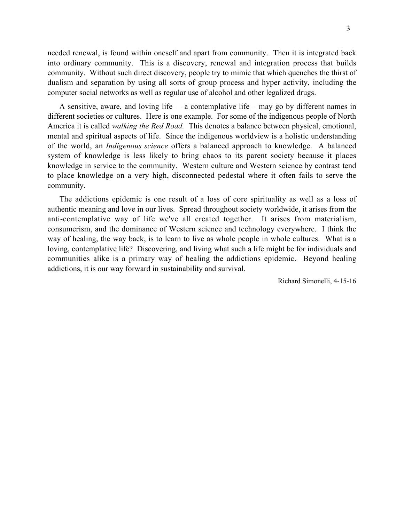needed renewal, is found within oneself and apart from community. Then it is integrated back into ordinary community. This is a discovery, renewal and integration process that builds community. Without such direct discovery, people try to mimic that which quenches the thirst of dualism and separation by using all sorts of group process and hyper activity, including the computer social networks as well as regular use of alcohol and other legalized drugs.

A sensitive, aware, and loving life  $-$  a contemplative life  $-$  may go by different names in different societies or cultures. Here is one example. For some of the indigenous people of North America it is called *walking the Red Road.* This denotes a balance between physical, emotional, mental and spiritual aspects of life. Since the indigenous worldview is a holistic understanding of the world, an *Indigenous science* offers a balanced approach to knowledge. A balanced system of knowledge is less likely to bring chaos to its parent society because it places knowledge in service to the community. Western culture and Western science by contrast tend to place knowledge on a very high, disconnected pedestal where it often fails to serve the community.

The addictions epidemic is one result of a loss of core spirituality as well as a loss of authentic meaning and love in our lives. Spread throughout society worldwide, it arises from the anti-contemplative way of life we've all created together. It arises from materialism, consumerism, and the dominance of Western science and technology everywhere. I think the way of healing, the way back, is to learn to live as whole people in whole cultures. What is a loving, contemplative life? Discovering, and living what such a life might be for individuals and communities alike is a primary way of healing the addictions epidemic. Beyond healing addictions, it is our way forward in sustainability and survival.

Richard Simonelli, 4-15-16